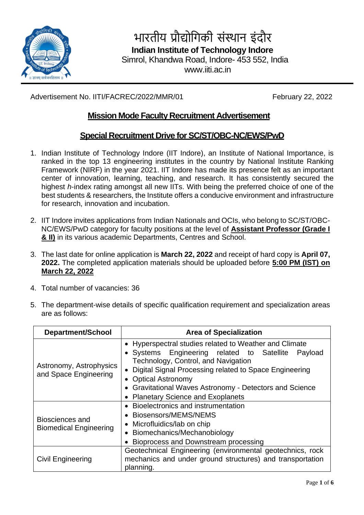

भारतीय प्रौद्योगिकी संस्थान इंदौर

 **Indian Institute of Technology Indore**

Simrol, Khandwa Road, Indore- 453 552, India

www.iiti.ac.in

Advertisement No. IITI/FACREC/2022/MMR/01 February 22, 2022

# **Mission Mode Faculty Recruitment Advertisement**

# **Special Recruitment Drive for SC/ST/OBC-NC/EWS/PwD**

- 1. Indian Institute of Technology Indore (IIT Indore), an Institute of National Importance, is ranked in the top 13 engineering institutes in the country by National Institute Ranking Framework (NIRF) in the year 2021. IIT Indore has made its presence felt as an important center of innovation, learning, teaching, and research. It has consistently secured the highest *h*-index rating amongst all new IITs. With being the preferred choice of one of the best students & researchers, the Institute offers a conducive environment and infrastructure for research, innovation and incubation.
- 2. IIT Indore invites applications from Indian Nationals and OCIs, who belong to SC/ST/OBC-NC/EWS/PwD category for faculty positions at the level of **Assistant Professor (Grade I & II)** in its various academic Departments, Centres and School.
- 3. The last date for online application is **March 22, 2022** and receipt of hard copy is **April 07, 2022.** The completed application materials should be uploaded before **5:00 PM (IST) on March 22, 2022**
- 4. Total number of vacancies: 36
- 5. The department-wise details of specific qualification requirement and specialization areas are as follows:

| <b>Department/School</b>                         | <b>Area of Specialization</b>                                                                                                                                                                                                                                                                                                              |  |  |  |  |
|--------------------------------------------------|--------------------------------------------------------------------------------------------------------------------------------------------------------------------------------------------------------------------------------------------------------------------------------------------------------------------------------------------|--|--|--|--|
| Astronomy, Astrophysics<br>and Space Engineering | • Hyperspectral studies related to Weather and Climate<br>• Systems Engineering related to Satellite<br>Payload<br>Technology, Control, and Navigation<br>• Digital Signal Processing related to Space Engineering<br>• Optical Astronomy<br>• Gravitational Waves Astronomy - Detectors and Science<br>• Planetary Science and Exoplanets |  |  |  |  |
| Biosciences and<br><b>Biomedical Engineering</b> | Bioelectronics and instrumentation<br>• Biosensors/MEMS/NEMS<br>• Microfluidics/lab on chip<br>• Biomechanics/Mechanobiology<br>Bioprocess and Downstream processing                                                                                                                                                                       |  |  |  |  |
| <b>Civil Engineering</b>                         | Geotechnical Engineering (environmental geotechnics, rock<br>mechanics and under ground structures) and transportation<br>planning.                                                                                                                                                                                                        |  |  |  |  |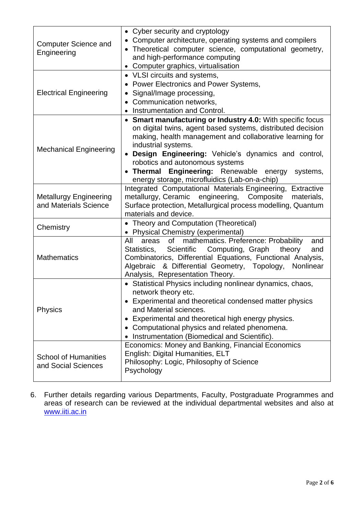| <b>Computer Science and</b><br>Engineering             | • Cyber security and cryptology<br>Computer architecture, operating systems and compilers<br>Theoretical computer science, computational geometry,<br>$\bullet$<br>and high-performance computing<br>Computer graphics, virtualisation                                                                                                                                                                         |  |  |  |  |
|--------------------------------------------------------|----------------------------------------------------------------------------------------------------------------------------------------------------------------------------------------------------------------------------------------------------------------------------------------------------------------------------------------------------------------------------------------------------------------|--|--|--|--|
| <b>Electrical Engineering</b>                          | • VLSI circuits and systems,<br>Power Electronics and Power Systems,<br>Signal/Image processing,<br>Communication networks,<br>Instrumentation and Control.                                                                                                                                                                                                                                                    |  |  |  |  |
| <b>Mechanical Engineering</b>                          | • Smart manufacturing or Industry 4.0: With specific focus<br>on digital twins, agent based systems, distributed decision<br>making, health management and collaborative learning for<br>industrial systems.<br>Design Engineering: Vehicle's dynamics and control,<br>robotics and autonomous systems<br>• Thermal Engineering: Renewable energy<br>systems,<br>energy storage, microfluidics (Lab-on-a-chip) |  |  |  |  |
| <b>Metallurgy Engineering</b><br>and Materials Science | Integrated Computational Materials Engineering, Extractive<br>metallurgy, Ceramic engineering, Composite<br>materials,<br>Surface protection, Metallurgical process modelling, Quantum<br>materials and device.                                                                                                                                                                                                |  |  |  |  |
| Chemistry                                              | • Theory and Computation (Theoretical)<br>• Physical Chemistry (experimental)                                                                                                                                                                                                                                                                                                                                  |  |  |  |  |
| <b>Mathematics</b>                                     | of mathematics. Preference: Probability<br>All<br>areas<br>and<br>Scientific Computing, Graph<br>theory<br>Statistics,<br>and<br>Combinatorics, Differential Equations, Functional Analysis,<br>Algebraic & Differential Geometry, Topology,<br>Nonlinear<br>Analysis, Representation Theory.                                                                                                                  |  |  |  |  |
| <b>Physics</b>                                         | • Statistical Physics including nonlinear dynamics, chaos,<br>network theory etc.<br>• Experimental and theoretical condensed matter physics<br>and Material sciences.<br>Experimental and theoretical high energy physics.<br>Computational physics and related phenomena.<br>Instrumentation (Biomedical and Scientific).                                                                                    |  |  |  |  |
| <b>School of Humanities</b><br>and Social Sciences     | Economics: Money and Banking, Financial Economics<br>English: Digital Humanities, ELT<br>Philosophy: Logic, Philosophy of Science<br>Psychology                                                                                                                                                                                                                                                                |  |  |  |  |

6. Further details regarding various Departments, Faculty, Postgraduate Programmes and areas of research can be reviewed at the individual departmental websites and also at [www.iiti.ac.in](http://www.iiti.ac.in/)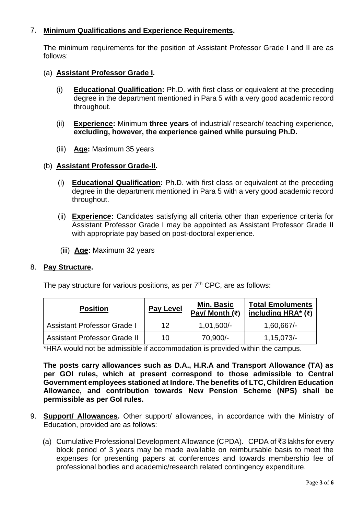## 7. **Minimum Qualifications and Experience Requirements.**

The minimum requirements for the position of Assistant Professor Grade I and II are as follows:

- (a) **Assistant Professor Grade I.** 
	- (i) **Educational Qualification:** Ph.D. with first class or equivalent at the preceding degree in the department mentioned in Para 5 with a very good academic record throughout.
	- (ii) **Experience:** Minimum **three years** of industrial/ research/ teaching experience, **excluding, however, the experience gained while pursuing Ph.D.**
	- (iii) **Age:** Maximum 35 years

#### (b) **Assistant Professor Grade-II.**

- (i) **Educational Qualification:** Ph.D. with first class or equivalent at the preceding degree in the department mentioned in Para 5 with a very good academic record throughout.
- (ii) **Experience:** Candidates satisfying all criteria other than experience criteria for Assistant Professor Grade I may be appointed as Assistant Professor Grade II with appropriate pay based on post-doctoral experience.
- (iii) **Age:** Maximum 32 years

#### 8. **Pay Structure.**

The pay structure for various positions, as per  $7<sup>th</sup>$  CPC, are as follows:

| <b>Position</b>                     | <b>Pay Level</b> | <b>Min. Basic</b><br>Pay/ Month $(3)$ | <b>Total Emoluments</b><br>including HRA* $($ ₹) |
|-------------------------------------|------------------|---------------------------------------|--------------------------------------------------|
| <b>Assistant Professor Grade I</b>  | 12               | $1,01,500/-$                          | 1,60,667/                                        |
| <b>Assistant Professor Grade II</b> | 10               | 70,900/-                              | 1,15,073/                                        |

\*HRA would not be admissible if accommodation is provided within the campus.

**The posts carry allowances such as D.A., H.R.A and Transport Allowance (TA) as per GOI rules, which at present correspond to those admissible to Central Government employees stationed at Indore. The benefits of LTC, Children Education Allowance, and contribution towards New Pension Scheme (NPS) shall be permissible as per GoI rules.**

- 9. **Support/ Allowances.** Other support/ allowances, in accordance with the Ministry of Education, provided are as follows:
	- (a) Cumulative Professional Development Allowance (CPDA). CPDA of ₹3 lakhs for every block period of 3 years may be made available on reimbursable basis to meet the expenses for presenting papers at conferences and towards membership fee of professional bodies and academic/research related contingency expenditure.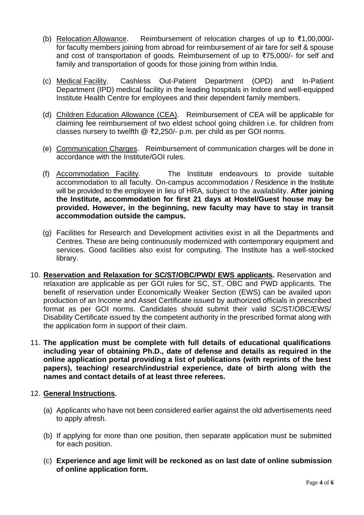- (b) Relocation Allowance. Reimbursement of relocation charges of up to ₹1,00,000/ for faculty members joining from abroad for reimbursement of air fare for self & spouse and cost of transportation of goods. Reimbursement of up to ₹75,000/- for self and family and transportation of goods for those joining from within India.
- (c) Medical Facility. Cashless Out-Patient Department (OPD) and In-Patient Department (IPD) medical facility in the leading hospitals in Indore and well-equipped Institute Health Centre for employees and their dependent family members.
- (d) Children Education Allowance (CEA). Reimbursement of CEA will be applicable for claiming fee reimbursement of two eldest school going children i.e. for children from classes nursery to twelfth @ ₹2,250/- p.m. per child as per GOI norms.
- (e) Communication Charges. Reimbursement of communication charges will be done in accordance with the Institute/GOI rules.
- (f) Accommodation Facility. The Institute endeavours to provide suitable accommodation to all faculty. On-campus accommodation / Residence in the Institute will be provided to the employee in lieu of HRA, subject to the availability. **After joining the Institute, accommodation for first 21 days at Hostel/Guest house may be provided. However, in the beginning, new faculty may have to stay in transit accommodation outside the campus.**
- (g) Facilities for Research and Development activities exist in all the Departments and Centres. These are being continuously modernized with contemporary equipment and services. Good facilities also exist for computing. The Institute has a well-stocked library.
- 10. **Reservation and Relaxation for SC/ST/OBC/PWD/ EWS applicants.** Reservation and relaxation are applicable as per GOI rules for SC, ST, OBC and PWD applicants. The benefit of reservation under Economically Weaker Section (EWS) can be availed upon production of an Income and Asset Certificate issued by authorized officials in prescribed format as per GOI norms. Candidates should submit their valid SC/ST/OBC/EWS/ Disability Certificate issued by the competent authority in the prescribed format along with the application form in support of their claim.
- 11. **The application must be complete with full details of educational qualifications including year of obtaining Ph.D., date of defense and details as required in the online application portal providing a list of publications (with reprints of the best papers), teaching/ research/industrial experience, date of birth along with the names and contact details of at least three referees.**

### 12. **General Instructions.**

- (a) Applicants who have not been considered earlier against the old advertisements need to apply afresh.
- (b) If applying for more than one position, then separate application must be submitted for each position.
- (c) **Experience and age limit will be reckoned as on last date of online submission of online application form.**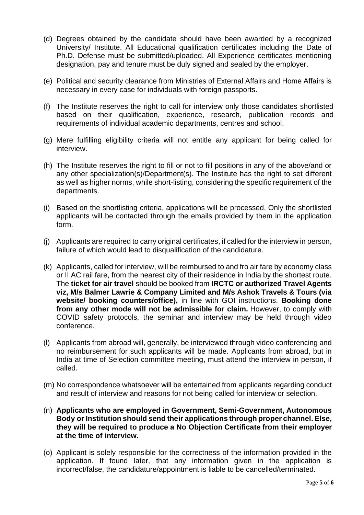- (d) Degrees obtained by the candidate should have been awarded by a recognized University/ Institute. All Educational qualification certificates including the Date of Ph.D. Defense must be submitted/uploaded. All Experience certificates mentioning designation, pay and tenure must be duly signed and sealed by the employer.
- (e) Political and security clearance from Ministries of External Affairs and Home Affairs is necessary in every case for individuals with foreign passports.
- (f) The Institute reserves the right to call for interview only those candidates shortlisted based on their qualification, experience, research, publication records and requirements of individual academic departments, centres and school.
- (g) Mere fulfilling eligibility criteria will not entitle any applicant for being called for interview.
- (h) The Institute reserves the right to fill or not to fill positions in any of the above/and or any other specialization(s)/Department(s). The Institute has the right to set different as well as higher norms, while short-listing, considering the specific requirement of the departments.
- (i) Based on the shortlisting criteria, applications will be processed. Only the shortlisted applicants will be contacted through the emails provided by them in the application form.
- (j) Applicants are required to carry original certificates, if called for the interview in person, failure of which would lead to disqualification of the candidature.
- (k) Applicants, called for interview, will be reimbursed to and fro air fare by economy class or II AC rail fare, from the nearest city of their residence in India by the shortest route. The **ticket for air travel** should be booked from **IRCTC or authorized Travel Agents viz, M/s Balmer Lawrie & Company Limited and M/s Ashok Travels & Tours (via website/ booking counters/office),** in line with GOI instructions. **Booking done from any other mode will not be admissible for claim.** However, to comply with COVID safety protocols, the seminar and interview may be held through video conference.
- (l) Applicants from abroad will, generally, be interviewed through video conferencing and no reimbursement for such applicants will be made. Applicants from abroad, but in India at time of Selection committee meeting, must attend the interview in person, if called.
- (m) No correspondence whatsoever will be entertained from applicants regarding conduct and result of interview and reasons for not being called for interview or selection.
- (n) **Applicants who are employed in Government, Semi-Government, Autonomous Body or Institution should send their applications through proper channel. Else, they will be required to produce a No Objection Certificate from their employer at the time of interview.**
- (o) Applicant is solely responsible for the correctness of the information provided in the application. If found later, that any information given in the application is incorrect/false, the candidature/appointment is liable to be cancelled/terminated.